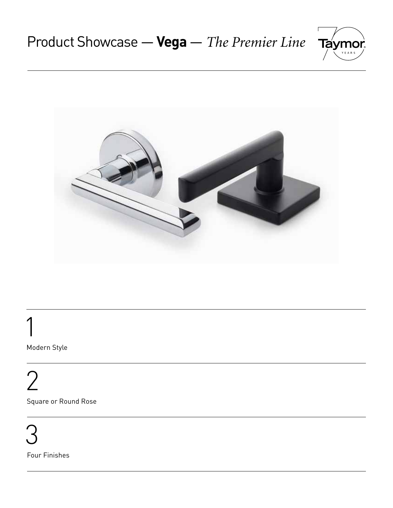



 1 Modern Style

2

Square or Round Rose

 3 Four Finishes